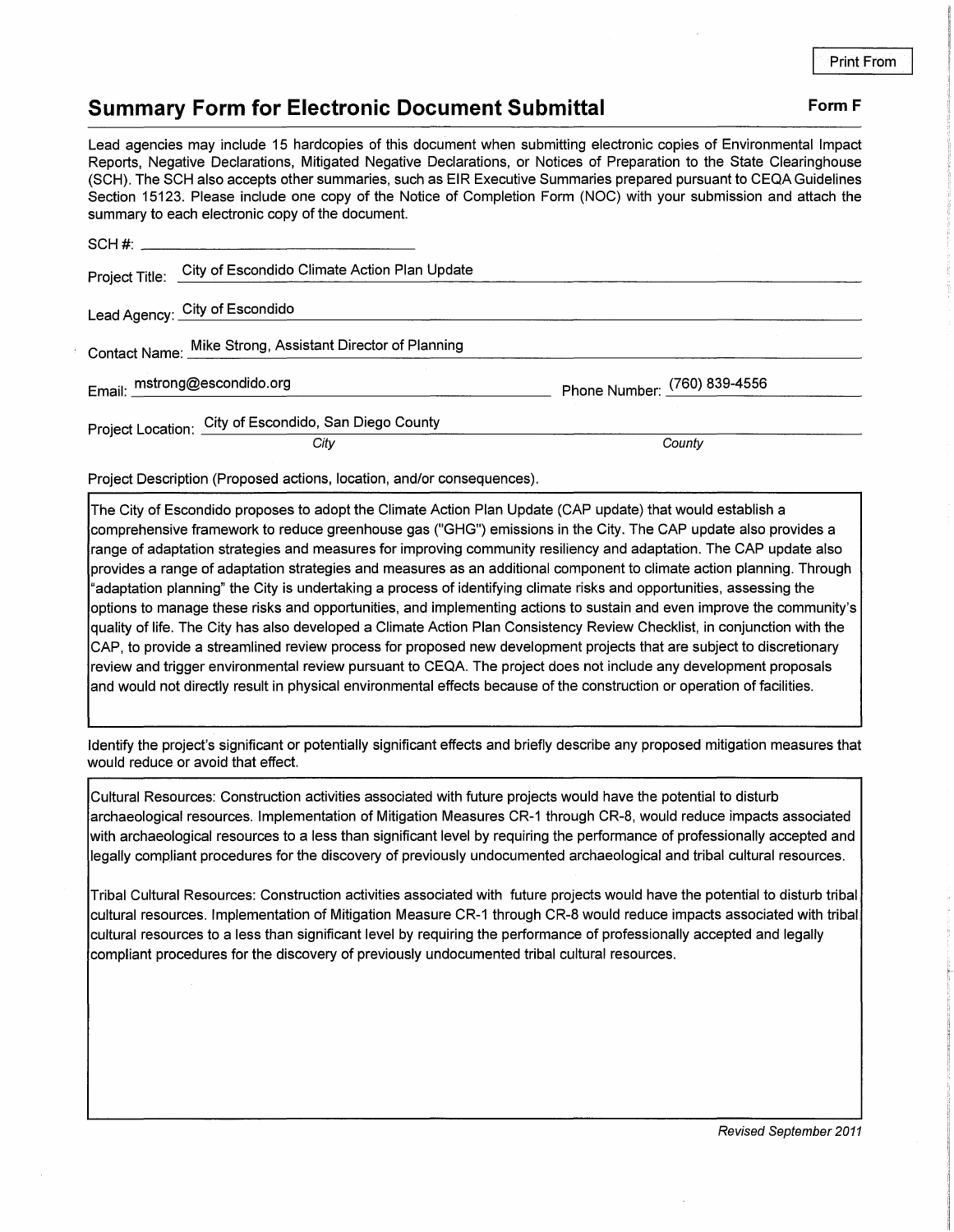## **Summary Form for Electronic Document Submittal Form F Form F**

Lead agencies may include 15 hardcopies of this document when submitting electronic copies of Environmental Impact Reports, Negative Declarations, Mitigated Negative Declarations, or Notices of Preparation to the State Clearinghouse (SCH). The SCH also accepts other summaries, such as EIR Executive Summaries prepared pursuant to CEQA Guidelines Section 15123. Please include one copy of the Notice of Completion Form (NOC) with your submission and attach the summary to each electronic copy of the document.

| <b>Partitudely to capit crooted its copy</b> of the accention. |      |                              |
|----------------------------------------------------------------|------|------------------------------|
| SCH #:                                                         |      |                              |
| Project Title: City of Escondido Climate Action Plan Update    |      |                              |
| Lead Agency: City of Escondido                                 |      |                              |
| Contact Name: Mike Strong, Assistant Director of Planning      |      |                              |
| Email: mstrong@escondido.org                                   |      | Phone Number: (760) 839-4556 |
| Project Location: City of Escondido, San Diego County          |      |                              |
|                                                                | City | County                       |

Project Description (Proposed actions, location, and/or consequences).

The City of Escondido proposes to adopt the Climate Action Plan Update (CAP update) that would establish a comprehensive framework to reduce greenhouse gas ("GHG") emissions in the City. The CAP update also provides a range of adaptation strategies and measures for improving community resiliency and adaptation. The CAP update also provides a range of adaptation strategies and measures as an additional component to climate action planning. Through "adaptation planning" the City is undertaking a process of identifying climate risks and opportunities, assessing the options to manage these risks and opportunities, and implementing actions to sustain and even improve the community's quality of life. The City has also developed a Climate Action Plan Consistency Review Checklist, in conjunction with the CAP, to provide a streamlined review process for proposed new development projects that are subject to discretionary review and trigger environmental review pursuant to CEQA. The project does not include any development proposals and would not directly result in physical environmental effects because of the construction or operation of facilities.

Identify the project's significant or potentially significant effects and briefly describe any proposed mitigation measures that would reduce or avoid that effect.

Cultural Resources: Construction activities associated with future projects would have the potential to disturb archaeological resources. Implementation of Mitigation Measures CR-1 through CR-8, would reduce impacts associated with archaeological resources to a less than significant level by requiring the performance of professionally accepted and legally compJiant procedures for the discovery of previously undocumented archaeological and tribal cultural resources.

Tribal Cultural Resources: Construction activities associated with future projects would have the potential to disturb tribal cultural resources. Implementation of Mitigation Measure CR-1 through CR-8 would reduce impacts associated with tribal cultural resources to a less than significant level by requiring the performance of professionally accepted and legally compliant procedures for the discovery of previously undocumented tribal cultural resources.

Revised September 2011